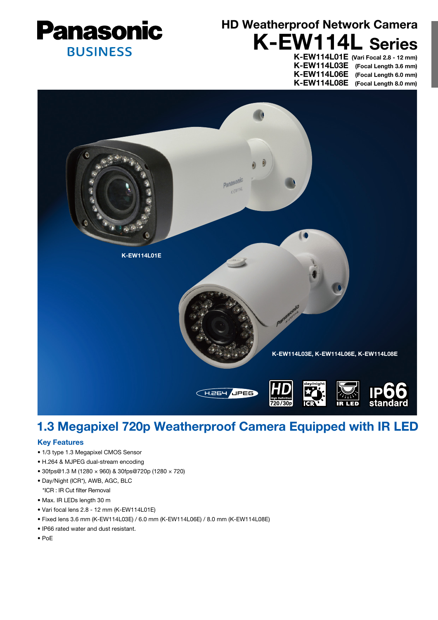

# K-EW114L Series HD Weatherproof Network Camera

K-EW114L03E (Focal Length 3.6 mm) K-EW114L06E (Focal Length 6.0 mm) K-EW114L08E (Focal Length 8.0 mm)

K-EW114L01E (Vari Focal 2.8 - 12 mm)



## 1.3 Megapixel 720p Weatherproof Camera Equipped with IR LED

### Key Features

- 1/3 type 1.3 Megapixel CMOS Sensor
- H.264 & MJPEG dual-stream encoding
- 30fps@1.3 M (1280 × 960) & 30fps@720p (1280 × 720)
- Day/Night (ICR\*), AWB, AGC, BLC
- \*ICR : IR Cut filter Removal
- Max. IR LEDs length 30 m
- Vari focal lens 2.8 12 mm (K-EW114L01E)
- Fixed lens 3.6 mm (K-EW114L03E) / 6.0 mm (K-EW114L06E) / 8.0 mm (K-EW114L08E)
- IP66 rated water and dust resistant.
- PoE